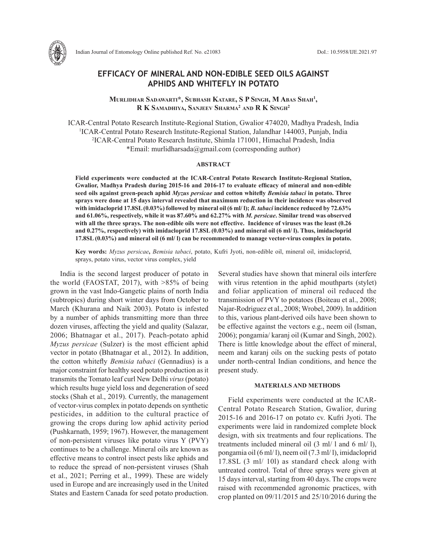

Indian Journal of Entomology Online published Ref. No. e21083 DoI.: 10.5958/IJE.2021.97

# **EFFICACY OF MINERAL AND NON-EDIBLE SEED OILS AGAINST APHIDS AND WHITEFLY IN POTATO**

**Murlidhar Sadawarti\*, Subhash Katare, S P Singh, M Abas Shah1 , R K Samadhiya, Sanjeev Sharma2 and R K Singh2**

ICAR-Central Potato Research Institute-Regional Station, Gwalior 474020, Madhya Pradesh, India <sup>1</sup>ICAR-Central Potato Research Institute-Regional Station, Jalandhar 144003, Punjab, India 2 ICAR-Central Potato Research Institute, Shimla 171001, Himachal Pradesh, India \*Email: murlidharsada@gmail.com (corresponding author)

## **ABSTRACT**

**Field experiments were conducted at the ICAR-Central Potato Research Institute-Regional Station, Gwalior, Madhya Pradesh during 2015-16 and 2016-17 to evaluate efficacy of mineral and non-edible seed oils against green-peach aphid** *Myzus persicae* **and cotton whitefly** *Bemisia tabaci* **in potato. Three sprays were done at 15 days interval revealed that maximum reduction in their incidence was observed with imidacloprid 17.8SL (0.03%) followed by mineral oil (6 ml/ l);** *B. tabaci* **incidence reduced by 72.63% and 61.06%, respectively, while it was 87.60% and 62.27% with** *M. persicae***. Similar trend was observed with all the three sprays. The non-edible oils were not effective. Incidence of viruses was the least (0.26 and 0.27%, respectively) with imidacloprid 17.8SL (0.03%) and mineral oil (6 ml/ l). Thus, imidacloprid 17.8SL (0.03%) and mineral oil (6 ml/ l) can be recommended to manage vector-virus complex in potato.** 

**Key words:** *Myzus persicae***,** *Bemisia tabaci*, potato, Kufri Jyoti, non-edible oil, mineral oil, imidacloprid, sprays, potato virus, vector virus complex, yield

India is the second largest producer of potato in the world (FAOSTAT, 2017), with >85% of being grown in the vast Indo-Gangetic plains of north India (subtropics) during short winter days from October to March (Khurana and Naik 2003). Potato is infested by a number of aphids transmitting more than three dozen viruses, affecting the yield and quality (Salazar, 2006; Bhatnagar et al., 2017). Peach-potato aphid *Myzus persicae* (Sulzer) is the most efficient aphid vector in potato (Bhatnagar et al., 2012). In addition, the cotton whitefly *Bemisia tabaci* (Gennadius) is a major constraint for healthy seed potato production as it transmits the Tomato leaf curl New Delhi *virus* (potato) which results huge yield loss and degeneration of seed stocks (Shah et al., 2019). Currently, the management of vector-virus complex in potato depends on synthetic pesticides, in addition to the cultural practice of growing the crops during low aphid activity period (Pushkarnath, 1959; 1967). However, the management of non-persistent viruses like potato virus Y (PVY) continues to be a challenge. Mineral oils are known as effective means to control insect pests like aphids and to reduce the spread of non-persistent viruses (Shah et al., 2021; Perring et al., 1999). These are widely used in Europe and are increasingly used in the United States and Eastern Canada for seed potato production. Several studies have shown that mineral oils interfere with virus retention in the aphid mouthparts (stylet) and foliar application of mineral oil reduced the transmission of PVY to potatoes (Boiteau et al., 2008; Najar-Rodriguez et al., 2008; Wrobel, 2009). In addition to this, various plant-derived oils have been shown to be effective against the vectors e.g., neem oil (Isman, 2006); pongamia/ karanj oil (Kumar and Singh, 2002). There is little knowledge about the effect of mineral, neem and karanj oils on the sucking pests of potato under north-central Indian conditions, and hence the present study.

#### **MATERIALS AND METHODS**

Field experiments were conducted at the ICAR-Central Potato Research Station, Gwalior, during 2015-16 and 2016-17 on potato cv. Kufri Jyoti. The experiments were laid in randomized complete block design, with six treatments and four replications. The treatments included mineral oil (3 ml/ l and 6 ml/ l), pongamia oil (6 ml/ l), neem oil (7.3 ml/ l), imidacloprid 17.8SL (3 ml/ 10l) as standard check along with untreated control. Total of three sprays were given at 15 days interval, starting from 40 days. The crops were raised with recommended agronomic practices, with crop planted on 09/11/2015 and 25/10/2016 during the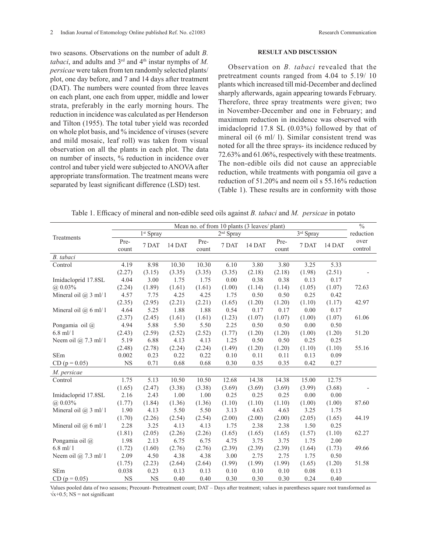two seasons. Observations on the number of adult *B. tabaci*, and adults and 3<sup>rd</sup> and 4<sup>th</sup> instar nymphs of *M*. *persicae* were taken from ten randomly selected plants/ plot, one day before, and 7 and 14 days after treatment (DAT). The numbers were counted from three leaves on each plant, one each from upper, middle and lower strata, preferably in the early morning hours. The reduction in incidence was calculated as per Henderson and Tilton (1955). The total tuber yield was recorded on whole plot basis, and % incidence of viruses (severe and mild mosaic, leaf roll) was taken from visual observation on all the plants in each plot. The data on number of insects, % reduction in incidence over control and tuber yield were subjected to ANOVA after appropriate transformation. The treatment means were separated by least significant difference (LSD) test.

### **RESULT AND DISCUSSION**

Observation on *B. tabaci* revealed that the pretreatment counts ranged from 4.04 to 5.19/ 10 plants which increased till mid-December and declined sharply afterwards, again appearing towards February. Therefore, three spray treatments were given; two in November-December and one in February; and maximum reduction in incidence was observed with imidacloprid 17.8 SL (0.03%) followed by that of mineral oil (6 ml/ l). Similar consistent trend was noted for all the three sprays- its incidence reduced by 72.63% and 61.06%, respectively with these treatments. The non-edible oils did not cause an appreciable reduction, while treatments with pongamia oil gave a reduction of 51.20% and neem oil s 55.16% reduction (Table 1). These results are in conformity with those

Table 1. Efficacy of mineral and non-edible seed oils against *B. tabaci* and *M. persicae* in potato

|                            | Mean no. of from 10 plants (3 leaves/ plant) |           |        |               |        |        |               |        |        | $\overline{\frac{0}{6}}$ |
|----------------------------|----------------------------------------------|-----------|--------|---------------|--------|--------|---------------|--------|--------|--------------------------|
| Treatments                 | 1 <sup>st</sup> Spray                        |           |        | $2nd$ Spray   |        |        | $3rd$ Spray   |        |        | reduction                |
|                            | Pre-<br>count                                | 7 DAT     | 14 DAT | Pre-<br>count | 7 DAT  | 14 DAT | Pre-<br>count | 7 DAT  | 14 DAT | over<br>control          |
| B. tabaci                  |                                              |           |        |               |        |        |               |        |        |                          |
| Control                    | 4.19                                         | 8.98      | 10.30  | 10.30         | 6.10   | 3.80   | 3.80          | 3.25   | 5.33   |                          |
|                            | (2.27)                                       | (3.15)    | (3.35) | (3.35)        | (3.35) | (2.18) | (2.18)        | (1.98) | (2.51) |                          |
| Imidacloprid 17.8SL        | 4.04                                         | 3.00      | 1.75   | 1.75          | 0.00   | 0.38   | 0.38          | 0.13   | 0.17   |                          |
| $(a) 0.03\%$               | (2.24)                                       | (1.89)    | (1.61) | (1.61)        | (1.00) | (1.14) | (1.14)        | (1.05) | (1.07) | 72.63                    |
| Mineral oil @ 3 ml/1       | 4.57                                         | 7.75      | 4.25   | 4.25          | 1.75   | 0.50   | 0.50          | 0.25   | 0.42   |                          |
|                            | (2.35)                                       | (2.95)    | (2.21) | (2.21)        | (1.65) | (1.20) | (1.20)        | (1.10) | (1.17) | 42.97                    |
| Mineral oil $(a)$ 6 ml/ 1  | 4.64                                         | 5.25      | 1.88   | 1.88          | 0.54   | 0.17   | 0.17          | 0.00   | 0.17   |                          |
|                            | (2.37)                                       | (2.45)    | (1.61) | (1.61)        | (1.23) | (1.07) | (1.07)        | (1.00) | (1.07) | 61.06                    |
| Pongamia oil @             | 4.94                                         | 5.88      | 5.50   | 5.50          | 2.25   | 0.50   | 0.50          | 0.00   | 0.50   |                          |
| $6.8$ ml/ 1                | (2.43)                                       | (2.59)    | (2.52) | (2.52)        | (1.77) | (1.20) | (1.20)        | (1.00) | (1.20) | 51.20                    |
| Neem oil $\omega$ 7.3 ml/1 | 5.19                                         | 6.88      | 4.13   | 4.13          | 1.25   | 0.50   | 0.50          | 0.25   | 0.25   |                          |
|                            | (2.48)                                       | (2.78)    | (2.24) | (2.24)        | (1.49) | (1.20) | (1.20)        | (1.10) | (1.10) | 55.16                    |
| <b>SEm</b>                 | 0.002                                        | 0.23      | 0.22   | 0.22          | 0.10   | 0.11   | 0.11          | 0.13   | 0.09   |                          |
| $CD (p = 0.05)$            | <b>NS</b>                                    | 0.71      | 0.68   | 0.68          | 0.30   | 0.35   | 0.35          | 0.42   | 0.27   |                          |
| M. persicae                |                                              |           |        |               |        |        |               |        |        |                          |
| Control                    | 1.75                                         | 5.13      | 10.50  | 10.50         | 12.68  | 14.38  | 14.38         | 15.00  | 12.75  |                          |
|                            | (1.65)                                       | (2.47)    | (3.38) | (3.38)        | (3.69) | (3.69) | (3.69)        | (3.99) | (3.68) |                          |
| Imidacloprid 17.8SL        | 2.16                                         | 2.43      | 1.00   | 1.00          | 0.25   | 0.25   | 0.25          | 0.00   | 0.00   |                          |
| $(a) 0.03\%$               | (1.77)                                       | (1.84)    | (1.36) | (1.36)        | (1.10) | (1.10) | (1.10)        | (1.00) | (1.00) | 87.60                    |
| Mineral oil $(a)$ 3 ml/ 1  | 1.90                                         | 4.13      | 5.50   | 5.50          | 3.13   | 4.63   | 4.63          | 3.25   | 1.75   |                          |
|                            | (1.70)                                       | (2.26)    | (2.54) | (2.54)        | (2.00) | (2.00) | (2.00)        | (2.05) | (1.65) | 44.19                    |
| Mineral oil $(a)$ 6 ml/ 1  | 2.28                                         | 3.25      | 4.13   | 4.13          | 1.75   | 2.38   | 2.38          | 1.50   | 0.25   |                          |
|                            | (1.81)                                       | (2.05)    | (2.26) | (2.26)        | (1.65) | (1.65) | (1.65)        | (1.57) | (1.10) | 62.27                    |
| Pongamia oil @             | 1.98                                         | 2.13      | 6.75   | 6.75          | 4.75   | 3.75   | 3.75          | 1.75   | 2.00   |                          |
| $6.8$ ml/ 1                | (1.72)                                       | (1.60)    | (2.76) | (2.76)        | (2.39) | (2.39) | (2.39)        | (1.64) | (1.73) | 49.66                    |
| Neem oil $(a)$ 7.3 ml/ 1   | 2.09                                         | 4.50      | 4.38   | 4.38          | 3.00   | 2.75   | 2.75          | 1.75   | 0.50   |                          |
|                            | (1.75)                                       | (2.23)    | (2.64) | (2.64)        | (1.99) | (1.99) | (1.99)        | (1.65) | (1.20) | 51.58                    |
| <b>SEm</b>                 | 0.038                                        | 0.23      | 0.13   | 0.13          | 0.10   | 0.10   | 0.10          | 0.08   | 0.13   |                          |
| $CD (p = 0.05)$            | <b>NS</b>                                    | <b>NS</b> | 0.40   | 0.40          | 0.30   | 0.30   | 0.30          | 0.24   | 0.40   |                          |

Values pooled data of two seasons; Precount- Pretreatment count; DAT – Days after treatment; values in parentheses square root transformed as  $\sqrt{x+0.5}$ ; NS = not significant